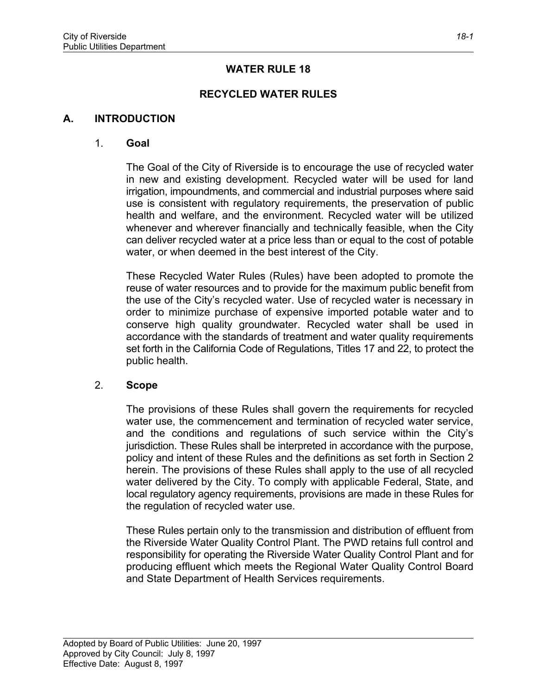# **WATER RULE 18**

# **RECYCLED WATER RULES**

### **A. INTRODUCTION**

#### 1. **Goal**

The Goal of the City of Riverside is to encourage the use of recycled water in new and existing development. Recycled water will be used for land irrigation, impoundments, and commercial and industrial purposes where said use is consistent with regulatory requirements, the preservation of public health and welfare, and the environment. Recycled water will be utilized whenever and wherever financially and technically feasible, when the City can deliver recycled water at a price less than or equal to the cost of potable water, or when deemed in the best interest of the City.

These Recycled Water Rules (Rules) have been adopted to promote the reuse of water resources and to provide for the maximum public benefit from the use of the City's recycled water. Use of recycled water is necessary in order to minimize purchase of expensive imported potable water and to conserve high quality groundwater. Recycled water shall be used in accordance with the standards of treatment and water quality requirements set forth in the California Code of Regulations, Titles 17 and 22, to protect the public health.

### 2. **Scope**

The provisions of these Rules shall govern the requirements for recycled water use, the commencement and termination of recycled water service, and the conditions and regulations of such service within the City's jurisdiction. These Rules shall be interpreted in accordance with the purpose, policy and intent of these Rules and the definitions as set forth in Section 2 herein. The provisions of these Rules shall apply to the use of all recycled water delivered by the City. To comply with applicable Federal, State, and local regulatory agency requirements, provisions are made in these Rules for the regulation of recycled water use.

These Rules pertain only to the transmission and distribution of effluent from the Riverside Water Quality Control Plant. The PWD retains full control and responsibility for operating the Riverside Water Quality Control Plant and for producing effluent which meets the Regional Water Quality Control Board and State Department of Health Services requirements.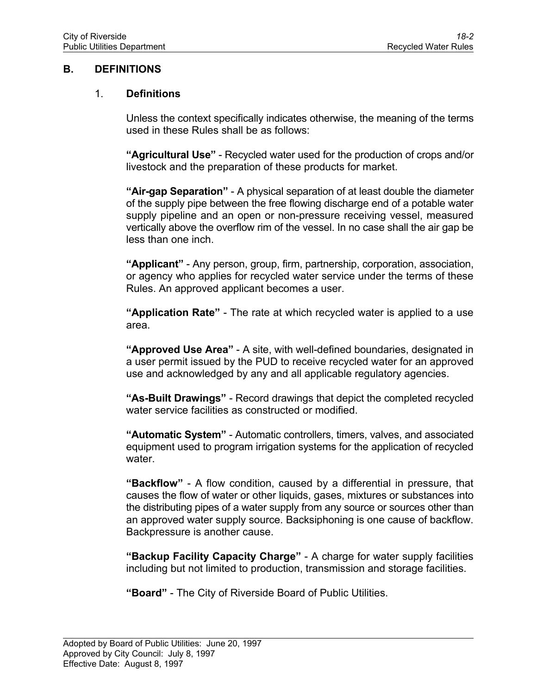## **B. DEFINITIONS**

### 1. **Definitions**

Unless the context specifically indicates otherwise, the meaning of the terms used in these Rules shall be as follows:

**"Agricultural Use"** - Recycled water used for the production of crops and/or livestock and the preparation of these products for market.

**"Air-gap Separation"** - A physical separation of at least double the diameter of the supply pipe between the free flowing discharge end of a potable water supply pipeline and an open or non-pressure receiving vessel, measured vertically above the overflow rim of the vessel. In no case shall the air gap be less than one inch.

**"Applicant"** - Any person, group, firm, partnership, corporation, association, or agency who applies for recycled water service under the terms of these Rules. An approved applicant becomes a user.

**"Application Rate"** - The rate at which recycled water is applied to a use area.

**"Approved Use Area"** - A site, with well-defined boundaries, designated in a user permit issued by the PUD to receive recycled water for an approved use and acknowledged by any and all applicable regulatory agencies.

**"As-Built Drawings"** - Record drawings that depict the completed recycled water service facilities as constructed or modified.

**"Automatic System"** - Automatic controllers, timers, valves, and associated equipment used to program irrigation systems for the application of recycled water.

**"Backflow"** - A flow condition, caused by a differential in pressure, that causes the flow of water or other liquids, gases, mixtures or substances into the distributing pipes of a water supply from any source or sources other than an approved water supply source. Backsiphoning is one cause of backflow. Backpressure is another cause.

**"Backup Facility Capacity Charge"** - A charge for water supply facilities including but not limited to production, transmission and storage facilities.

**"Board"** - The City of Riverside Board of Public Utilities.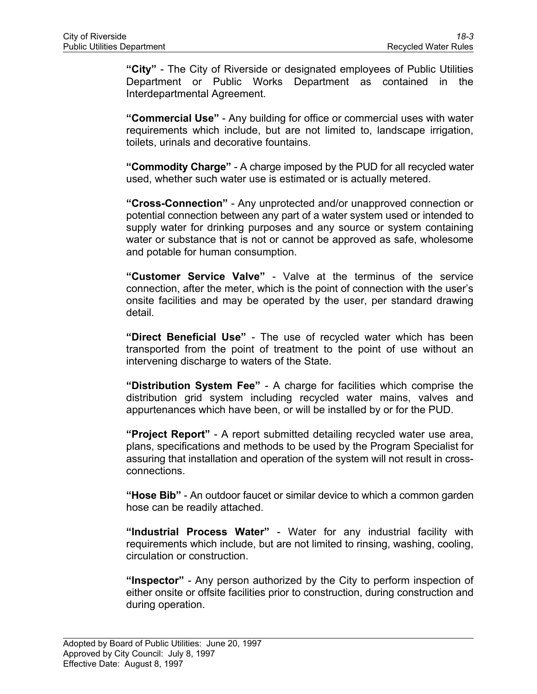**"City"** - The City of Riverside or designated employees of Public Utilities Department or Public Works Department as contained in the Interdepartmental Agreement.

**"Commercial Use"** - Any building for office or commercial uses with water requirements which include, but are not limited to, landscape irrigation, toilets, urinals and decorative fountains.

**"Commodity Charge"** *-* A charge imposed by the PUD for all recycled water used, whether such water use is estimated or is actually metered.

**"Cross-Connection"** - Any unprotected and/or unapproved connection or potential connection between any part of a water system used or intended to supply water for drinking purposes and any source or system containing water or substance that is not or cannot be approved as safe, wholesome and potable for human consumption.

**"Customer Service Valve"** - Valve at the terminus of the service connection, after the meter, which is the point of connection with the user's onsite facilities and may be operated by the user, per standard drawing detail.

**"Direct Beneficial Use"** - The use of recycled water which has been transported from the point of treatment to the point of use without an intervening discharge to waters of the State.

**"Distribution System Fee"** - A charge for facilities which comprise the distribution grid system including recycled water mains, valves and appurtenances which have been, or will be installed by or for the PUD.

**"Project Report"** - A report submitted detailing recycled water use area, plans, specifications and methods to be used by the Program Specialist for assuring that installation and operation of the system will not result in crossconnections.

**"Hose Bib"** - An outdoor faucet or similar device to which a common garden hose can be readily attached.

**"Industrial Process Water"** - Water for any industrial facility with requirements which include, but are not limited to rinsing, washing, cooling, circulation or construction.

**"Inspector"** - Any person authorized by the City to perform inspection of either onsite or offsite facilities prior to construction, during construction and during operation.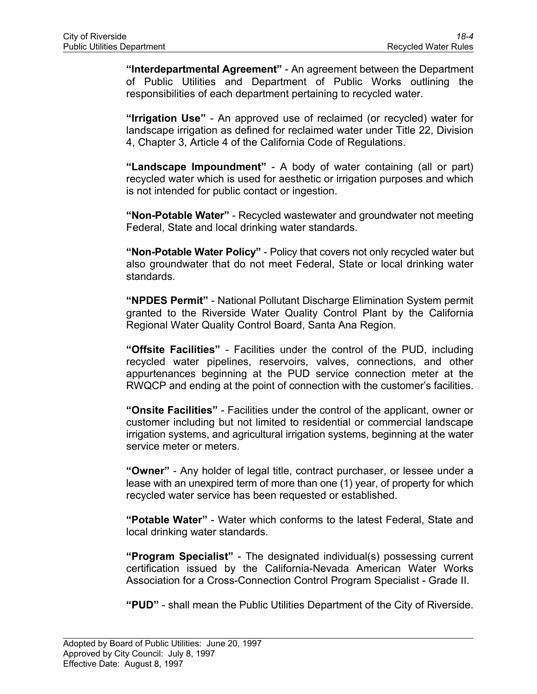**"Interdepartmental Agreement"** - An agreement between the Department of Public Utilities and Department of Public Works outlining the responsibilities of each department pertaining to recycled water.

**"Irrigation Use"** - An approved use of reclaimed (or recycled) water for landscape irrigation as defined for reclaimed water under Title 22, Division 4, Chapter 3, Article 4 of the California Code of Regulations.

**"Landscape Impoundment"** - A body of water containing (all or part) recycled water which is used for aesthetic or irrigation purposes and which is not intended for public contact or ingestion.

**"Non-Potable Water"** - Recycled wastewater and groundwater not meeting Federal, State and local drinking water standards.

**"Non-Potable Water Policy"** - Policy that covers not only recycled water but also groundwater that do not meet Federal, State or local drinking water standards.

**"NPDES Permit"** - National Pollutant Discharge Elimination System permit granted to the Riverside Water Quality Control Plant by the California Regional Water Quality Control Board, Santa Ana Region.

**"Offsite Facilities"** - Facilities under the control of the PUD, including recycled water pipelines, reservoirs, valves, connections, and other appurtenances beginning at the PUD service connection meter at the RWQCP and ending at the point of connection with the customer's facilities.

**"Onsite Facilities"** - Facilities under the control of the applicant, owner or customer including but not limited to residential or commercial landscape irrigation systems, and agricultural irrigation systems, beginning at the water service meter or meters.

**"Owner"** - Any holder of legal title, contract purchaser, or lessee under a lease with an unexpired term of more than one (1) year, of property for which recycled water service has been requested or established.

**"Potable Water"** - Water which conforms to the latest Federal, State and local drinking water standards.

**"Program Specialist"** - The designated individual(s) possessing current certification issued by the California-Nevada American Water Works Association for a Cross-Connection Control Program Specialist - Grade II.

**"PUD"** - shall mean the Public Utilities Department of the City of Riverside.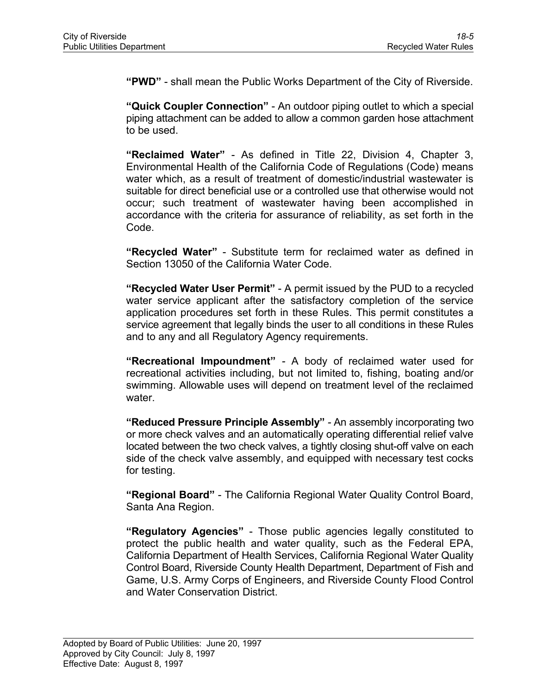**"PWD"** - shall mean the Public Works Department of the City of Riverside.

**"Quick Coupler Connection"** - An outdoor piping outlet to which a special piping attachment can be added to allow a common garden hose attachment to be used.

**"Reclaimed Water"** - As defined in Title 22, Division 4, Chapter 3, Environmental Health of the California Code of Regulations (Code) means water which, as a result of treatment of domestic/industrial wastewater is suitable for direct beneficial use or a controlled use that otherwise would not occur; such treatment of wastewater having been accomplished in accordance with the criteria for assurance of reliability, as set forth in the Code.

**"Recycled Water"** - Substitute term for reclaimed water as defined in Section 13050 of the California Water Code.

**"Recycled Water User Permit"** - A permit issued by the PUD to a recycled water service applicant after the satisfactory completion of the service application procedures set forth in these Rules. This permit constitutes a service agreement that legally binds the user to all conditions in these Rules and to any and all Regulatory Agency requirements.

**"Recreational Impoundment"** *-* A body of reclaimed water used for recreational activities including, but not limited to, fishing, boating and/or swimming. Allowable uses will depend on treatment level of the reclaimed water.

**"Reduced Pressure Principle Assembly"** *-* An assembly incorporating two or more check valves and an automatically operating differential relief valve located between the two check valves, a tightly closing shut-off valve on each side of the check valve assembly, and equipped with necessary test cocks for testing.

**"Regional Board"** - The California Regional Water Quality Control Board, Santa Ana Region.

**"Regulatory Agencies"** - Those public agencies legally constituted to protect the public health and water quality, such as the Federal EPA, California Department of Health Services, California Regional Water Quality Control Board, Riverside County Health Department, Department of Fish and Game, U.S. Army Corps of Engineers, and Riverside County Flood Control and Water Conservation District.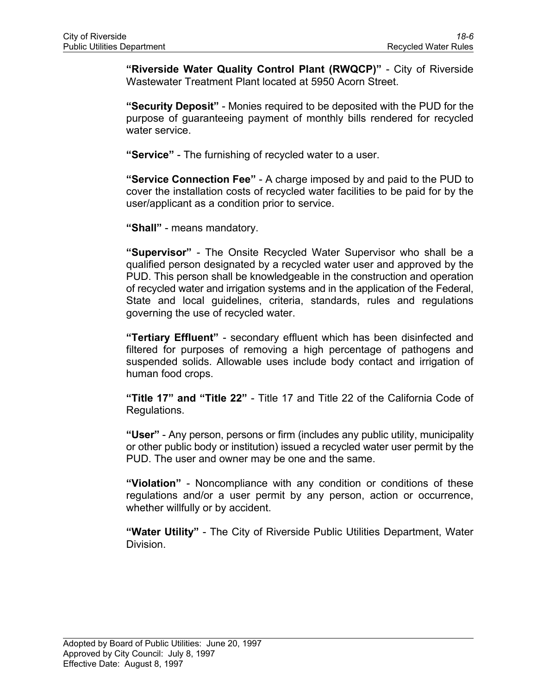**"Riverside Water Quality Control Plant (RWQCP)"** - City of Riverside Wastewater Treatment Plant located at 5950 Acorn Street.

**"Security Deposit"** - Monies required to be deposited with the PUD for the purpose of guaranteeing payment of monthly bills rendered for recycled water service.

**"Service"** - The furnishing of recycled water to a user.

**"Service Connection Fee"** - A charge imposed by and paid to the PUD to cover the installation costs of recycled water facilities to be paid for by the user/applicant as a condition prior to service.

**"Shall"** - means mandatory.

**"Supervisor"** - The Onsite Recycled Water Supervisor who shall be a qualified person designated by a recycled water user and approved by the PUD. This person shall be knowledgeable in the construction and operation of recycled water and irrigation systems and in the application of the Federal, State and local guidelines, criteria, standards, rules and regulations governing the use of recycled water.

**"Tertiary Effluent"** - secondary effluent which has been disinfected and filtered for purposes of removing a high percentage of pathogens and suspended solids. Allowable uses include body contact and irrigation of human food crops.

**"Title 17" and "Title 22"** - Title 17 and Title 22 of the California Code of Regulations.

**"User"** - Any person, persons or firm (includes any public utility, municipality or other public body or institution) issued a recycled water user permit by the PUD. The user and owner may be one and the same.

**"Violation"** - Noncompliance with any condition or conditions of these regulations and/or a user permit by any person, action or occurrence, whether willfully or by accident.

**"Water Utility"** - The City of Riverside Public Utilities Department, Water Division.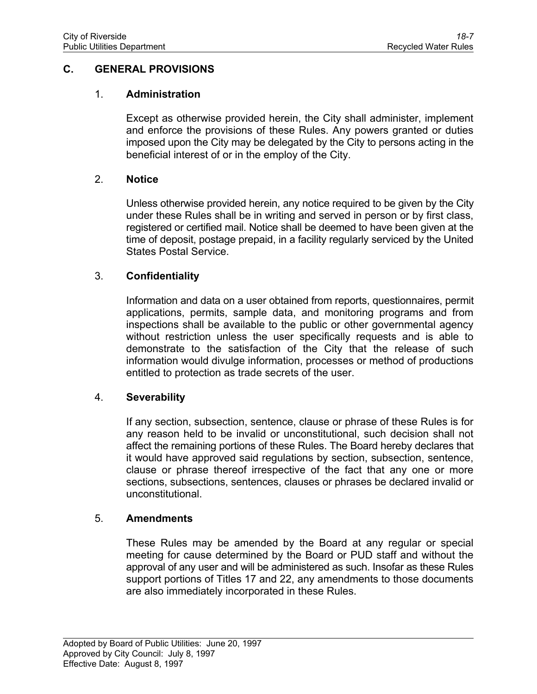## **C. GENERAL PROVISIONS**

### 1. **Administration**

Except as otherwise provided herein, the City shall administer, implement and enforce the provisions of these Rules. Any powers granted or duties imposed upon the City may be delegated by the City to persons acting in the beneficial interest of or in the employ of the City.

### 2. **Notice**

Unless otherwise provided herein, any notice required to be given by the City under these Rules shall be in writing and served in person or by first class, registered or certified mail. Notice shall be deemed to have been given at the time of deposit, postage prepaid, in a facility regularly serviced by the United States Postal Service.

## 3. **Confidentiality**

Information and data on a user obtained from reports, questionnaires, permit applications, permits, sample data, and monitoring programs and from inspections shall be available to the public or other governmental agency without restriction unless the user specifically requests and is able to demonstrate to the satisfaction of the City that the release of such information would divulge information, processes or method of productions entitled to protection as trade secrets of the user.

### 4. **Severability**

If any section, subsection, sentence, clause or phrase of these Rules is for any reason held to be invalid or unconstitutional, such decision shall not affect the remaining portions of these Rules. The Board hereby declares that it would have approved said regulations by section, subsection, sentence, clause or phrase thereof irrespective of the fact that any one or more sections, subsections, sentences, clauses or phrases be declared invalid or unconstitutional.

# 5. **Amendments**

These Rules may be amended by the Board at any regular or special meeting for cause determined by the Board or PUD staff and without the approval of any user and will be administered as such. Insofar as these Rules support portions of Titles 17 and 22, any amendments to those documents are also immediately incorporated in these Rules.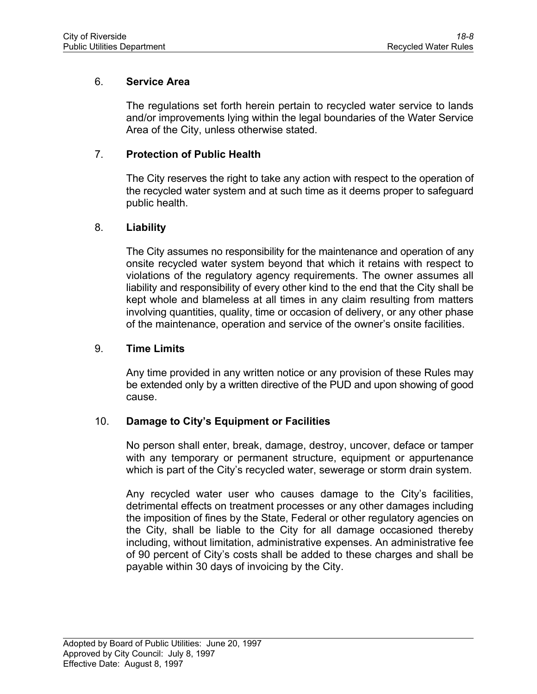## 6. **Service Area**

The regulations set forth herein pertain to recycled water service to lands and/or improvements lying within the legal boundaries of the Water Service Area of the City, unless otherwise stated.

## 7. **Protection of Public Health**

The City reserves the right to take any action with respect to the operation of the recycled water system and at such time as it deems proper to safeguard public health.

### 8. **Liability**

The City assumes no responsibility for the maintenance and operation of any onsite recycled water system beyond that which it retains with respect to violations of the regulatory agency requirements. The owner assumes all liability and responsibility of every other kind to the end that the City shall be kept whole and blameless at all times in any claim resulting from matters involving quantities, quality, time or occasion of delivery, or any other phase of the maintenance, operation and service of the owner's onsite facilities.

### 9. **Time Limits**

Any time provided in any written notice or any provision of these Rules may be extended only by a written directive of the PUD and upon showing of good cause.

# 10. **Damage to City's Equipment or Facilities**

No person shall enter, break, damage, destroy, uncover, deface or tamper with any temporary or permanent structure, equipment or appurtenance which is part of the City's recycled water, sewerage or storm drain system.

Any recycled water user who causes damage to the City's facilities, detrimental effects on treatment processes or any other damages including the imposition of fines by the State, Federal or other regulatory agencies on the City, shall be liable to the City for all damage occasioned thereby including, without limitation, administrative expenses. An administrative fee of 90 percent of City's costs shall be added to these charges and shall be payable within 30 days of invoicing by the City.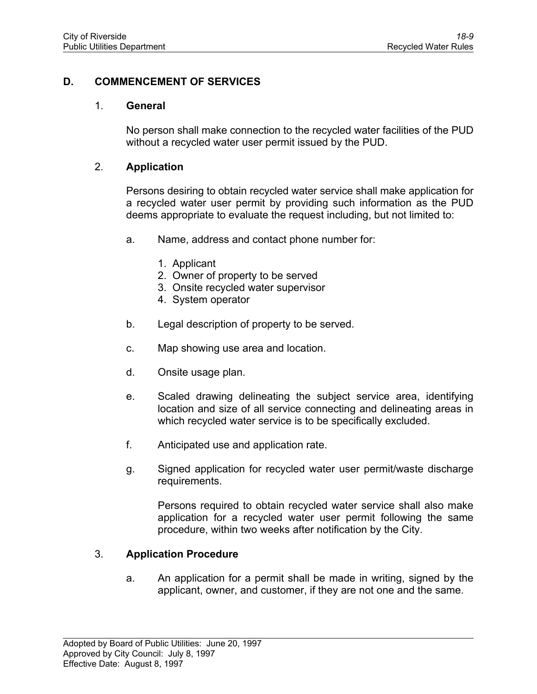# **D. COMMENCEMENT OF SERVICES**

#### 1. **General**

No person shall make connection to the recycled water facilities of the PUD without a recycled water user permit issued by the PUD.

### 2. **Application**

Persons desiring to obtain recycled water service shall make application for a recycled water user permit by providing such information as the PUD deems appropriate to evaluate the request including, but not limited to:

- a. Name, address and contact phone number for:
	- 1. Applicant
	- 2. Owner of property to be served
	- 3. Onsite recycled water supervisor
	- 4. System operator
- b. Legal description of property to be served.
- c. Map showing use area and location.
- d. Onsite usage plan.
- e. Scaled drawing delineating the subject service area, identifying location and size of all service connecting and delineating areas in which recycled water service is to be specifically excluded.
- f. Anticipated use and application rate.
- g. Signed application for recycled water user permit/waste discharge requirements.

Persons required to obtain recycled water service shall also make application for a recycled water user permit following the same procedure, within two weeks after notification by the City.

### 3. **Application Procedure**

a. An application for a permit shall be made in writing, signed by the applicant, owner, and customer, if they are not one and the same.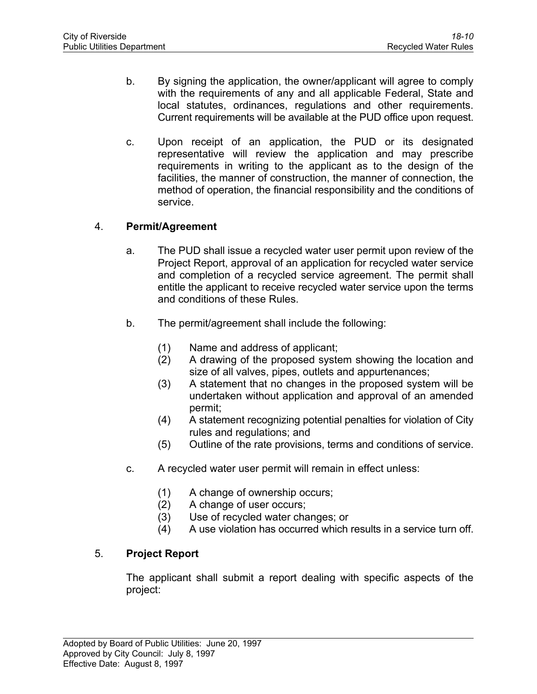- b. By signing the application, the owner/applicant will agree to comply with the requirements of any and all applicable Federal, State and local statutes, ordinances, regulations and other requirements. Current requirements will be available at the PUD office upon request.
- c. Upon receipt of an application, the PUD or its designated representative will review the application and may prescribe requirements in writing to the applicant as to the design of the facilities, the manner of construction, the manner of connection, the method of operation, the financial responsibility and the conditions of service.

# 4. **Permit/Agreement**

- a. The PUD shall issue a recycled water user permit upon review of the Project Report, approval of an application for recycled water service and completion of a recycled service agreement. The permit shall entitle the applicant to receive recycled water service upon the terms and conditions of these Rules.
- b. The permit/agreement shall include the following:
	- (1) Name and address of applicant;
	- (2) A drawing of the proposed system showing the location and size of all valves, pipes, outlets and appurtenances;
	- (3) A statement that no changes in the proposed system will be undertaken without application and approval of an amended permit;
	- (4) A statement recognizing potential penalties for violation of City rules and regulations; and
	- (5) Outline of the rate provisions, terms and conditions of service.
- c. A recycled water user permit will remain in effect unless:
	- (1) A change of ownership occurs;
	- (2) A change of user occurs;
	- (3) Use of recycled water changes; or
	- (4) A use violation has occurred which results in a service turn off.

# 5. **Project Report**

The applicant shall submit a report dealing with specific aspects of the project: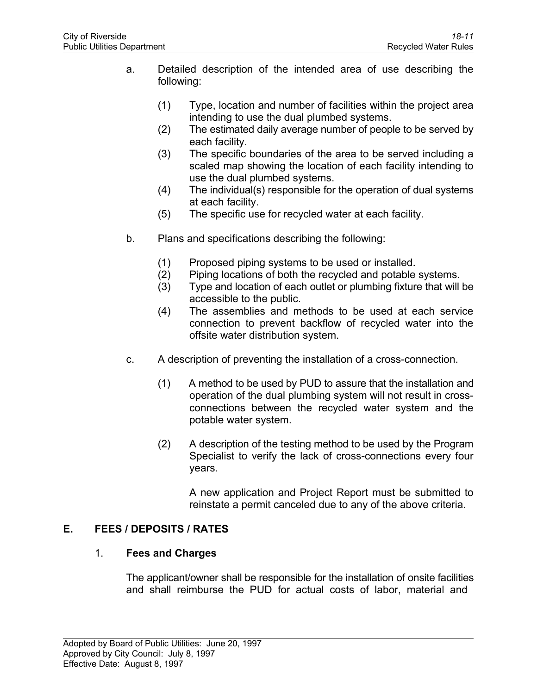- a. Detailed description of the intended area of use describing the following:
	- (1) Type, location and number of facilities within the project area intending to use the dual plumbed systems.
	- (2) The estimated daily average number of people to be served by each facility.
	- (3) The specific boundaries of the area to be served including a scaled map showing the location of each facility intending to use the dual plumbed systems.
	- (4) The individual(s) responsible for the operation of dual systems at each facility.
	- (5) The specific use for recycled water at each facility.
- b. Plans and specifications describing the following:
	- (1) Proposed piping systems to be used or installed.
	- (2) Piping locations of both the recycled and potable systems.
	- (3) Type and location of each outlet or plumbing fixture that will be accessible to the public.
	- (4) The assemblies and methods to be used at each service connection to prevent backflow of recycled water into the offsite water distribution system.
- c. A description of preventing the installation of a cross-connection.
	- (1) A method to be used by PUD to assure that the installation and operation of the dual plumbing system will not result in crossconnections between the recycled water system and the potable water system.
	- (2) A description of the testing method to be used by the Program Specialist to verify the lack of cross-connections every four years.

A new application and Project Report must be submitted to reinstate a permit canceled due to any of the above criteria.

# **E. FEES / DEPOSITS / RATES**

# 1. **Fees and Charges**

The applicant/owner shall be responsible for the installation of onsite facilities and shall reimburse the PUD for actual costs of labor, material and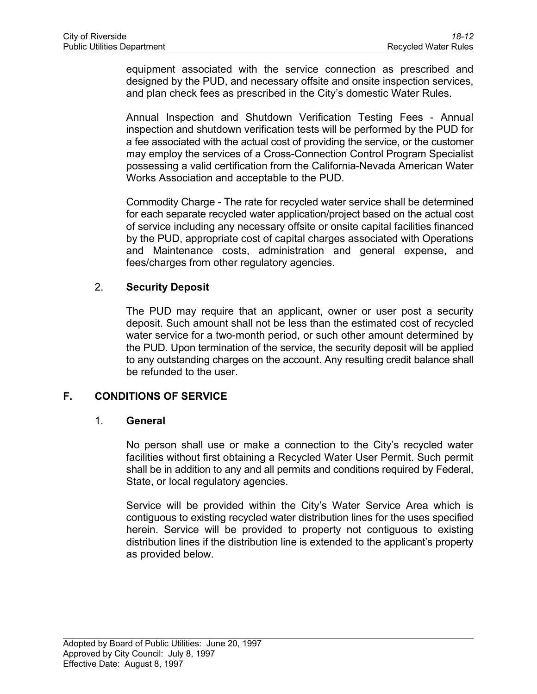equipment associated with the service connection as prescribed and designed by the PUD, and necessary offsite and onsite inspection services, and plan check fees as prescribed in the City's domestic Water Rules.

Annual Inspection and Shutdown Verification Testing Fees - Annual inspection and shutdown verification tests will be performed by the PUD for a fee associated with the actual cost of providing the service, or the customer may employ the services of a Cross-Connection Control Program Specialist possessing a valid certification from the California-Nevada American Water Works Association and acceptable to the PUD.

Commodity Charge - The rate for recycled water service shall be determined for each separate recycled water application/project based on the actual cost of service including any necessary offsite or onsite capital facilities financed by the PUD, appropriate cost of capital charges associated with Operations and Maintenance costs, administration and general expense, and fees/charges from other regulatory agencies.

# 2. **Security Deposit**

The PUD may require that an applicant, owner or user post a security deposit. Such amount shall not be less than the estimated cost of recycled water service for a two-month period, or such other amount determined by the PUD. Upon termination of the service, the security deposit will be applied to any outstanding charges on the account. Any resulting credit balance shall be refunded to the user.

# **F. CONDITIONS OF SERVICE**

# 1. **General**

No person shall use or make a connection to the City's recycled water facilities without first obtaining a Recycled Water User Permit. Such permit shall be in addition to any and all permits and conditions required by Federal, State, or local regulatory agencies.

Service will be provided within the City's Water Service Area which is contiguous to existing recycled water distribution lines for the uses specified herein. Service will be provided to property not contiguous to existing distribution lines if the distribution line is extended to the applicant's property as provided below.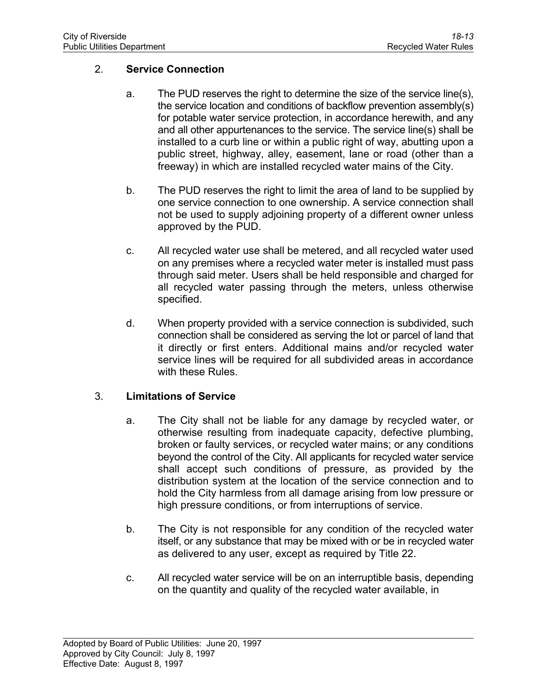## 2. **Service Connection**

- a. The PUD reserves the right to determine the size of the service line(s), the service location and conditions of backflow prevention assembly(s) for potable water service protection, in accordance herewith, and any and all other appurtenances to the service. The service line(s) shall be installed to a curb line or within a public right of way, abutting upon a public street, highway, alley, easement, lane or road (other than a freeway) in which are installed recycled water mains of the City.
- b. The PUD reserves the right to limit the area of land to be supplied by one service connection to one ownership. A service connection shall not be used to supply adjoining property of a different owner unless approved by the PUD.
- c. All recycled water use shall be metered, and all recycled water used on any premises where a recycled water meter is installed must pass through said meter. Users shall be held responsible and charged for all recycled water passing through the meters, unless otherwise specified.
- d. When property provided with a service connection is subdivided, such connection shall be considered as serving the lot or parcel of land that it directly or first enters. Additional mains and/or recycled water service lines will be required for all subdivided areas in accordance with these Rules.

### 3. **Limitations of Service**

- a. The City shall not be liable for any damage by recycled water, or otherwise resulting from inadequate capacity, defective plumbing, broken or faulty services, or recycled water mains; or any conditions beyond the control of the City. All applicants for recycled water service shall accept such conditions of pressure, as provided by the distribution system at the location of the service connection and to hold the City harmless from all damage arising from low pressure or high pressure conditions, or from interruptions of service.
- b. The City is not responsible for any condition of the recycled water itself, or any substance that may be mixed with or be in recycled water as delivered to any user, except as required by Title 22.
- c. All recycled water service will be on an interruptible basis, depending on the quantity and quality of the recycled water available, in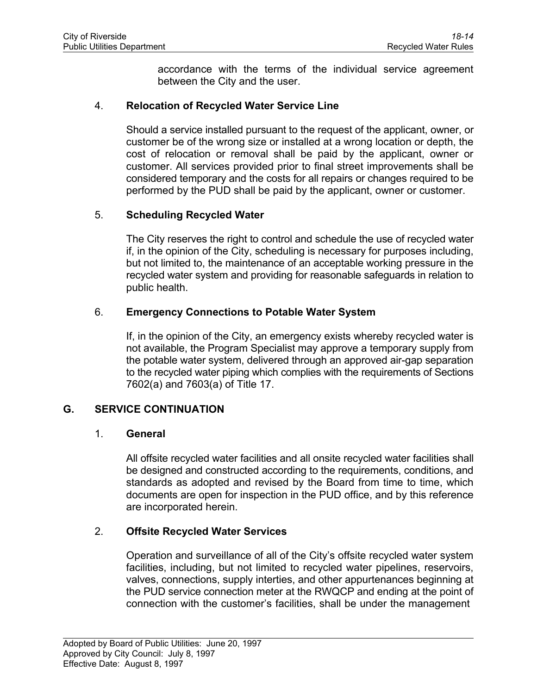accordance with the terms of the individual service agreement between the City and the user.

## 4. **Relocation of Recycled Water Service Line**

Should a service installed pursuant to the request of the applicant, owner, or customer be of the wrong size or installed at a wrong location or depth, the cost of relocation or removal shall be paid by the applicant, owner or customer. All services provided prior to final street improvements shall be considered temporary and the costs for all repairs or changes required to be performed by the PUD shall be paid by the applicant, owner or customer.

## 5. **Scheduling Recycled Water**

The City reserves the right to control and schedule the use of recycled water if, in the opinion of the City, scheduling is necessary for purposes including, but not limited to, the maintenance of an acceptable working pressure in the recycled water system and providing for reasonable safeguards in relation to public health.

## 6. **Emergency Connections to Potable Water System**

If, in the opinion of the City, an emergency exists whereby recycled water is not available, the Program Specialist may approve a temporary supply from the potable water system, delivered through an approved air-gap separation to the recycled water piping which complies with the requirements of Sections 7602(a) and 7603(a) of Title 17.

# **G. SERVICE CONTINUATION**

### 1. **General**

All offsite recycled water facilities and all onsite recycled water facilities shall be designed and constructed according to the requirements, conditions, and standards as adopted and revised by the Board from time to time, which documents are open for inspection in the PUD office, and by this reference are incorporated herein.

# 2. **Offsite Recycled Water Services**

Operation and surveillance of all of the City's offsite recycled water system facilities, including, but not limited to recycled water pipelines, reservoirs, valves, connections, supply interties, and other appurtenances beginning at the PUD service connection meter at the RWQCP and ending at the point of connection with the customer's facilities, shall be under the management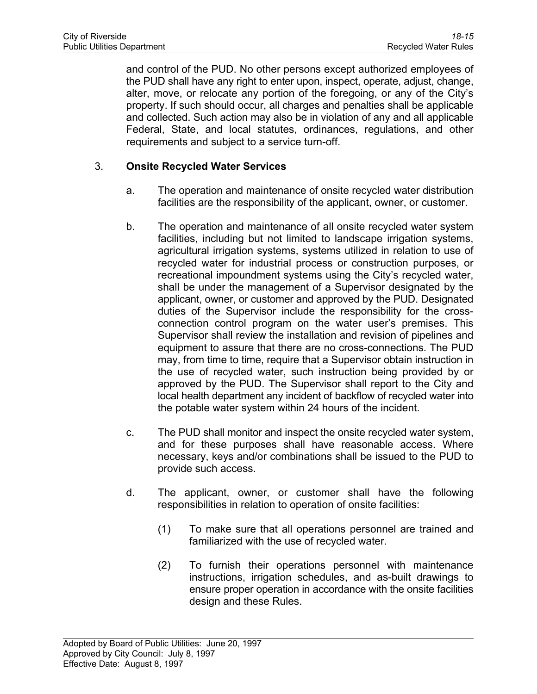and control of the PUD. No other persons except authorized employees of the PUD shall have any right to enter upon, inspect, operate, adjust, change, alter, move, or relocate any portion of the foregoing, or any of the City's property. If such should occur, all charges and penalties shall be applicable and collected. Such action may also be in violation of any and all applicable Federal, State, and local statutes, ordinances, regulations, and other requirements and subject to a service turn-off.

# 3. **Onsite Recycled Water Services**

- a. The operation and maintenance of onsite recycled water distribution facilities are the responsibility of the applicant, owner, or customer.
- b. The operation and maintenance of all onsite recycled water system facilities, including but not limited to landscape irrigation systems, agricultural irrigation systems, systems utilized in relation to use of recycled water for industrial process or construction purposes, or recreational impoundment systems using the City's recycled water, shall be under the management of a Supervisor designated by the applicant, owner, or customer and approved by the PUD. Designated duties of the Supervisor include the responsibility for the crossconnection control program on the water user's premises. This Supervisor shall review the installation and revision of pipelines and equipment to assure that there are no cross-connections. The PUD may, from time to time, require that a Supervisor obtain instruction in the use of recycled water, such instruction being provided by or approved by the PUD. The Supervisor shall report to the City and local health department any incident of backflow of recycled water into the potable water system within 24 hours of the incident.
- c. The PUD shall monitor and inspect the onsite recycled water system, and for these purposes shall have reasonable access. Where necessary, keys and/or combinations shall be issued to the PUD to provide such access.
- d. The applicant, owner, or customer shall have the following responsibilities in relation to operation of onsite facilities:
	- (1) To make sure that all operations personnel are trained and familiarized with the use of recycled water.
	- (2) To furnish their operations personnel with maintenance instructions, irrigation schedules, and as-built drawings to ensure proper operation in accordance with the onsite facilities design and these Rules.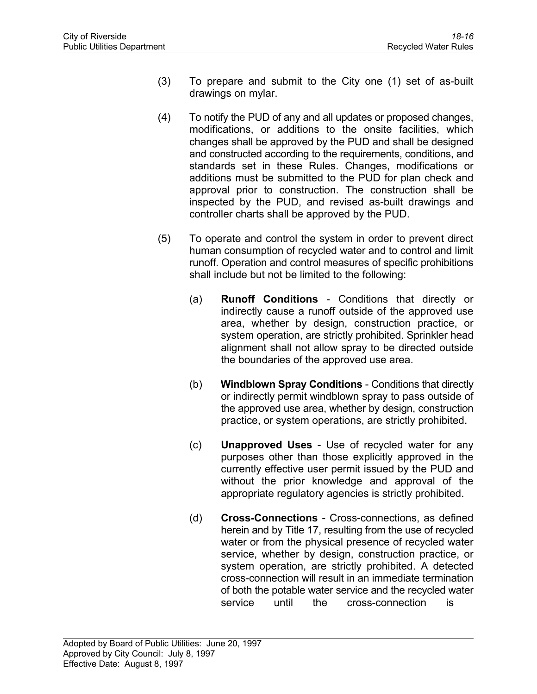- (3) To prepare and submit to the City one (1) set of as-built drawings on mylar.
- (4) To notify the PUD of any and all updates or proposed changes, modifications, or additions to the onsite facilities, which changes shall be approved by the PUD and shall be designed and constructed according to the requirements, conditions, and standards set in these Rules. Changes, modifications or additions must be submitted to the PUD for plan check and approval prior to construction. The construction shall be inspected by the PUD, and revised as-built drawings and controller charts shall be approved by the PUD.
- (5) To operate and control the system in order to prevent direct human consumption of recycled water and to control and limit runoff. Operation and control measures of specific prohibitions shall include but not be limited to the following:
	- (a) **Runoff Conditions** Conditions that directly or indirectly cause a runoff outside of the approved use area, whether by design, construction practice, or system operation, are strictly prohibited. Sprinkler head alignment shall not allow spray to be directed outside the boundaries of the approved use area.
	- (b) **Windblown Spray Conditions** Conditions that directly or indirectly permit windblown spray to pass outside of the approved use area, whether by design, construction practice, or system operations, are strictly prohibited.
	- (c) **Unapproved Uses**  Use of recycled water for any purposes other than those explicitly approved in the currently effective user permit issued by the PUD and without the prior knowledge and approval of the appropriate regulatory agencies is strictly prohibited.
	- (d) **Cross-Connections** Cross-connections, as defined herein and by Title 17, resulting from the use of recycled water or from the physical presence of recycled water service, whether by design, construction practice, or system operation, are strictly prohibited. A detected cross-connection will result in an immediate termination of both the potable water service and the recycled water service until the cross-connection is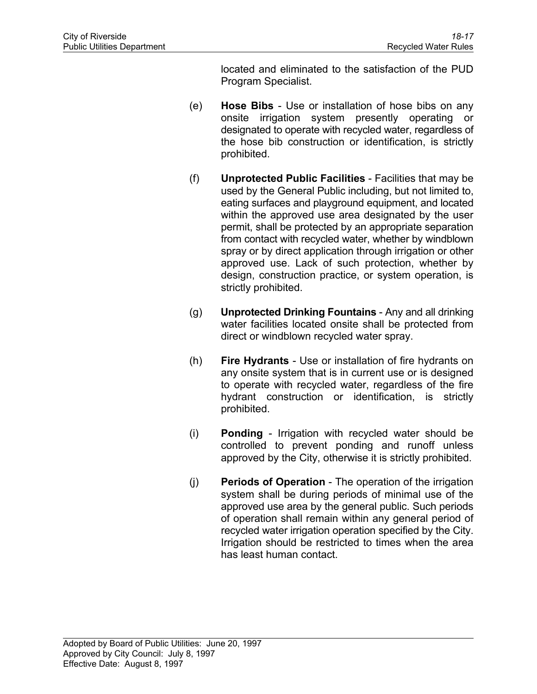located and eliminated to the satisfaction of the PUD Program Specialist.

- (e) **Hose Bibs** Use or installation of hose bibs on any onsite irrigation system presently operating or designated to operate with recycled water, regardless of the hose bib construction or identification, is strictly prohibited.
- (f) **Unprotected Public Facilities** Facilities that may be used by the General Public including, but not limited to, eating surfaces and playground equipment, and located within the approved use area designated by the user permit, shall be protected by an appropriate separation from contact with recycled water, whether by windblown spray or by direct application through irrigation or other approved use. Lack of such protection, whether by design, construction practice, or system operation, is strictly prohibited.
- (g) **Unprotected Drinking Fountains** Any and all drinking water facilities located onsite shall be protected from direct or windblown recycled water spray.
- (h) **Fire Hydrants** Use or installation of fire hydrants on any onsite system that is in current use or is designed to operate with recycled water, regardless of the fire hydrant construction or identification, is strictly prohibited.
- (i) **Ponding** Irrigation with recycled water should be controlled to prevent ponding and runoff unless approved by the City, otherwise it is strictly prohibited.
- (j) **Periods of Operation** The operation of the irrigation system shall be during periods of minimal use of the approved use area by the general public. Such periods of operation shall remain within any general period of recycled water irrigation operation specified by the City. Irrigation should be restricted to times when the area has least human contact.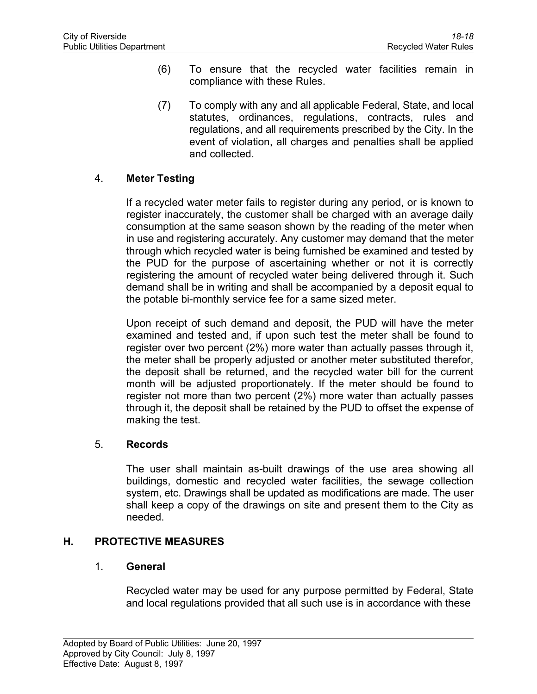- (6) To ensure that the recycled water facilities remain in compliance with these Rules.
- (7) To comply with any and all applicable Federal, State, and local statutes, ordinances, regulations, contracts, rules and regulations, and all requirements prescribed by the City. In the event of violation, all charges and penalties shall be applied and collected.

# 4. **Meter Testing**

If a recycled water meter fails to register during any period, or is known to register inaccurately, the customer shall be charged with an average daily consumption at the same season shown by the reading of the meter when in use and registering accurately. Any customer may demand that the meter through which recycled water is being furnished be examined and tested by the PUD for the purpose of ascertaining whether or not it is correctly registering the amount of recycled water being delivered through it. Such demand shall be in writing and shall be accompanied by a deposit equal to the potable bi-monthly service fee for a same sized meter.

Upon receipt of such demand and deposit, the PUD will have the meter examined and tested and, if upon such test the meter shall be found to register over two percent (2%) more water than actually passes through it, the meter shall be properly adjusted or another meter substituted therefor, the deposit shall be returned, and the recycled water bill for the current month will be adjusted proportionately. If the meter should be found to register not more than two percent (2%) more water than actually passes through it, the deposit shall be retained by the PUD to offset the expense of making the test.

### 5. **Records**

The user shall maintain as-built drawings of the use area showing all buildings, domestic and recycled water facilities, the sewage collection system, etc. Drawings shall be updated as modifications are made. The user shall keep a copy of the drawings on site and present them to the City as needed.

### **H. PROTECTIVE MEASURES**

# 1. **General**

Recycled water may be used for any purpose permitted by Federal, State and local regulations provided that all such use is in accordance with these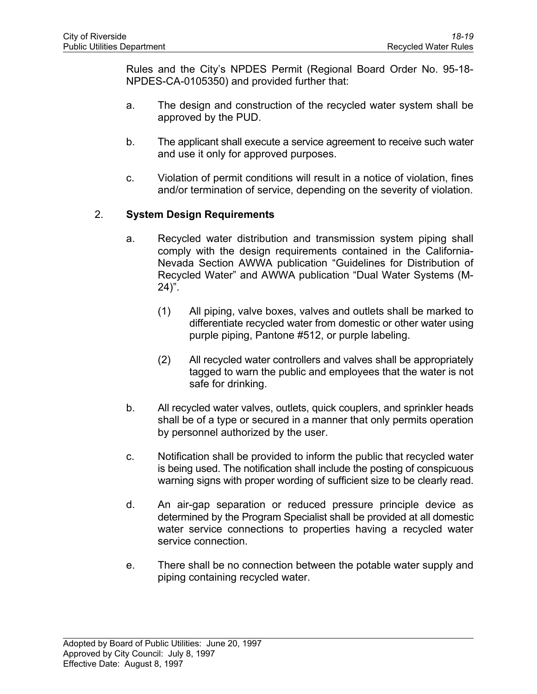Rules and the City's NPDES Permit (Regional Board Order No. 95-18- NPDES-CA-0105350) and provided further that:

- a. The design and construction of the recycled water system shall be approved by the PUD.
- b. The applicant shall execute a service agreement to receive such water and use it only for approved purposes.
- c. Violation of permit conditions will result in a notice of violation, fines and/or termination of service, depending on the severity of violation.

# 2. **System Design Requirements**

- a. Recycled water distribution and transmission system piping shall comply with the design requirements contained in the California-Nevada Section AWWA publication "Guidelines for Distribution of Recycled Water" and AWWA publication "Dual Water Systems (M-24)".
	- (1) All piping, valve boxes, valves and outlets shall be marked to differentiate recycled water from domestic or other water using purple piping, Pantone #512, or purple labeling.
	- (2) All recycled water controllers and valves shall be appropriately tagged to warn the public and employees that the water is not safe for drinking.
- b. All recycled water valves, outlets, quick couplers, and sprinkler heads shall be of a type or secured in a manner that only permits operation by personnel authorized by the user.
- c. Notification shall be provided to inform the public that recycled water is being used. The notification shall include the posting of conspicuous warning signs with proper wording of sufficient size to be clearly read.
- d. An air-gap separation or reduced pressure principle device as determined by the Program Specialist shall be provided at all domestic water service connections to properties having a recycled water service connection.
- e. There shall be no connection between the potable water supply and piping containing recycled water.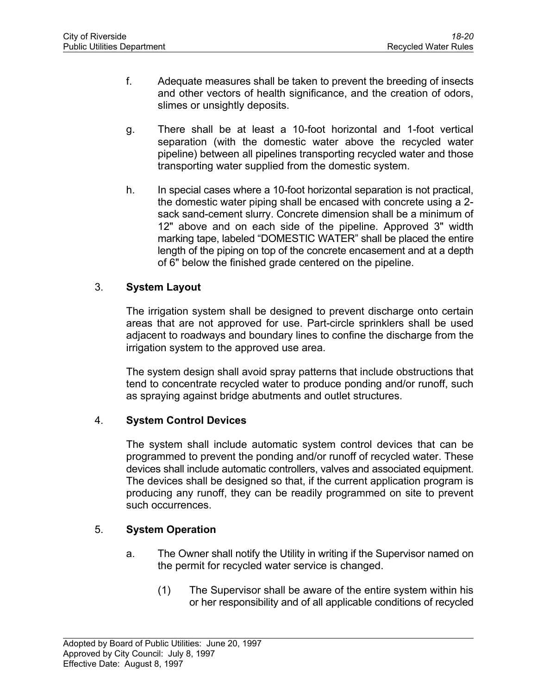- f. Adequate measures shall be taken to prevent the breeding of insects and other vectors of health significance, and the creation of odors, slimes or unsightly deposits.
- g. There shall be at least a 10-foot horizontal and 1-foot vertical separation (with the domestic water above the recycled water pipeline) between all pipelines transporting recycled water and those transporting water supplied from the domestic system.
- h. In special cases where a 10-foot horizontal separation is not practical, the domestic water piping shall be encased with concrete using a 2 sack sand-cement slurry. Concrete dimension shall be a minimum of 12" above and on each side of the pipeline. Approved 3" width marking tape, labeled "DOMESTIC WATER" shall be placed the entire length of the piping on top of the concrete encasement and at a depth of 6" below the finished grade centered on the pipeline.

# 3. **System Layout**

The irrigation system shall be designed to prevent discharge onto certain areas that are not approved for use. Part-circle sprinklers shall be used adjacent to roadways and boundary lines to confine the discharge from the irrigation system to the approved use area.

The system design shall avoid spray patterns that include obstructions that tend to concentrate recycled water to produce ponding and/or runoff, such as spraying against bridge abutments and outlet structures.

### 4. **System Control Devices**

The system shall include automatic system control devices that can be programmed to prevent the ponding and/or runoff of recycled water. These devices shall include automatic controllers, valves and associated equipment. The devices shall be designed so that, if the current application program is producing any runoff, they can be readily programmed on site to prevent such occurrences.

# 5. **System Operation**

- a. The Owner shall notify the Utility in writing if the Supervisor named on the permit for recycled water service is changed.
	- (1) The Supervisor shall be aware of the entire system within his or her responsibility and of all applicable conditions of recycled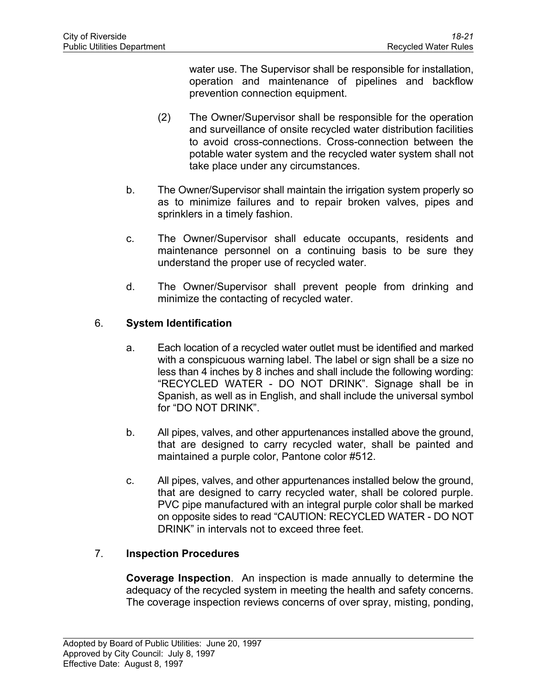water use. The Supervisor shall be responsible for installation, operation and maintenance of pipelines and backflow prevention connection equipment.

- (2) The Owner/Supervisor shall be responsible for the operation and surveillance of onsite recycled water distribution facilities to avoid cross-connections. Cross-connection between the potable water system and the recycled water system shall not take place under any circumstances.
- b. The Owner/Supervisor shall maintain the irrigation system properly so as to minimize failures and to repair broken valves, pipes and sprinklers in a timely fashion.
- c. The Owner/Supervisor shall educate occupants, residents and maintenance personnel on a continuing basis to be sure they understand the proper use of recycled water.
- d. The Owner/Supervisor shall prevent people from drinking and minimize the contacting of recycled water.

## 6. **System Identification**

- a. Each location of a recycled water outlet must be identified and marked with a conspicuous warning label. The label or sign shall be a size no less than 4 inches by 8 inches and shall include the following wording: "RECYCLED WATER - DO NOT DRINK". Signage shall be in Spanish, as well as in English, and shall include the universal symbol for "DO NOT DRINK".
- b. All pipes, valves, and other appurtenances installed above the ground, that are designed to carry recycled water, shall be painted and maintained a purple color, Pantone color #512.
- c. All pipes, valves, and other appurtenances installed below the ground, that are designed to carry recycled water, shall be colored purple. PVC pipe manufactured with an integral purple color shall be marked on opposite sides to read "CAUTION: RECYCLED WATER - DO NOT DRINK" in intervals not to exceed three feet.

### 7. **Inspection Procedures**

**Coverage Inspection**. An inspection is made annually to determine the adequacy of the recycled system in meeting the health and safety concerns. The coverage inspection reviews concerns of over spray, misting, ponding,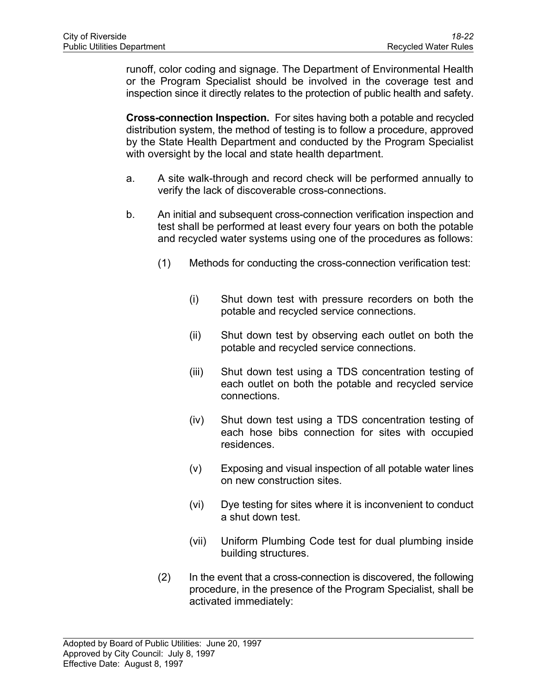runoff, color coding and signage. The Department of Environmental Health or the Program Specialist should be involved in the coverage test and inspection since it directly relates to the protection of public health and safety.

**Cross-connection Inspection.** For sites having both a potable and recycled distribution system, the method of testing is to follow a procedure, approved by the State Health Department and conducted by the Program Specialist with oversight by the local and state health department.

- a. A site walk-through and record check will be performed annually to verify the lack of discoverable cross-connections.
- b. An initial and subsequent cross-connection verification inspection and test shall be performed at least every four years on both the potable and recycled water systems using one of the procedures as follows:
	- (1) Methods for conducting the cross-connection verification test:
		- (i) Shut down test with pressure recorders on both the potable and recycled service connections.
		- (ii) Shut down test by observing each outlet on both the potable and recycled service connections.
		- (iii) Shut down test using a TDS concentration testing of each outlet on both the potable and recycled service connections.
		- (iv) Shut down test using a TDS concentration testing of each hose bibs connection for sites with occupied residences.
		- (v) Exposing and visual inspection of all potable water lines on new construction sites.
		- (vi) Dye testing for sites where it is inconvenient to conduct a shut down test.
		- (vii) Uniform Plumbing Code test for dual plumbing inside building structures.
	- (2) In the event that a cross-connection is discovered, the following procedure, in the presence of the Program Specialist, shall be activated immediately: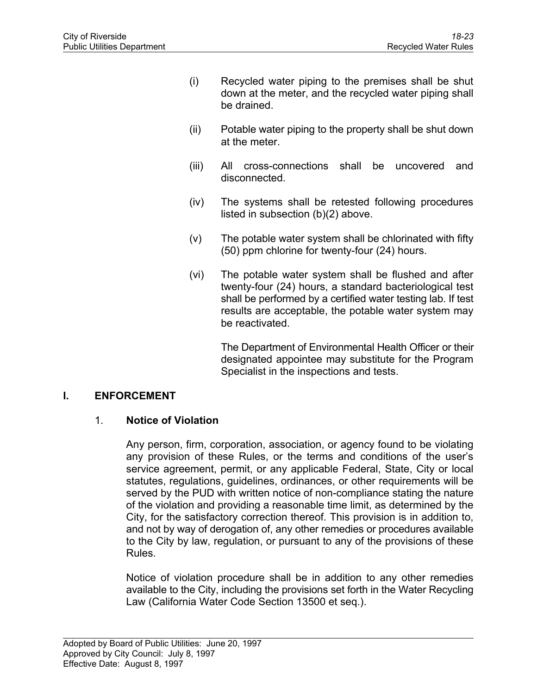- (i) Recycled water piping to the premises shall be shut down at the meter, and the recycled water piping shall be drained.
- (ii) Potable water piping to the property shall be shut down at the meter.
- (iii) All cross-connections shall be uncovered and disconnected.
- (iv) The systems shall be retested following procedures listed in subsection (b)(2) above.
- (v) The potable water system shall be chlorinated with fifty (50) ppm chlorine for twenty-four (24) hours.
- (vi) The potable water system shall be flushed and after twenty-four (24) hours, a standard bacteriological test shall be performed by a certified water testing lab. If test results are acceptable, the potable water system may be reactivated.

The Department of Environmental Health Officer or their designated appointee may substitute for the Program Specialist in the inspections and tests.

# **I. ENFORCEMENT**

### 1. **Notice of Violation**

Any person, firm, corporation, association, or agency found to be violating any provision of these Rules, or the terms and conditions of the user's service agreement, permit, or any applicable Federal, State, City or local statutes, regulations, guidelines, ordinances, or other requirements will be served by the PUD with written notice of non-compliance stating the nature of the violation and providing a reasonable time limit, as determined by the City, for the satisfactory correction thereof. This provision is in addition to, and not by way of derogation of, any other remedies or procedures available to the City by law, regulation, or pursuant to any of the provisions of these Rules.

Notice of violation procedure shall be in addition to any other remedies available to the City, including the provisions set forth in the Water Recycling Law (California Water Code Section 13500 et seq.).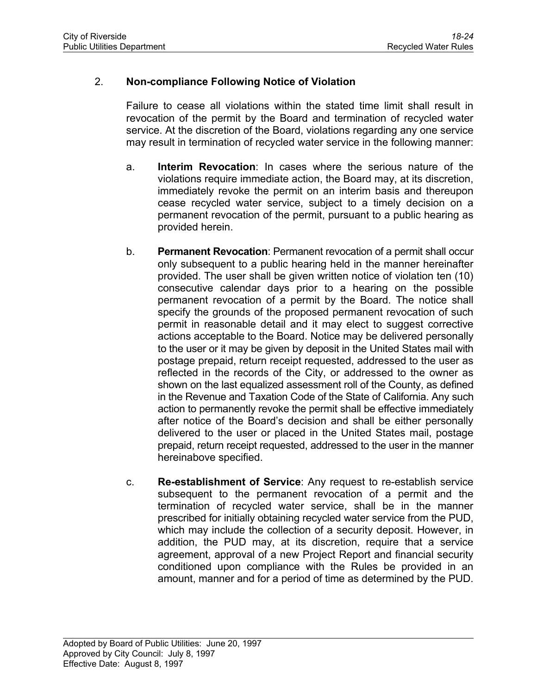# 2. **Non-compliance Following Notice of Violation**

Failure to cease all violations within the stated time limit shall result in revocation of the permit by the Board and termination of recycled water service. At the discretion of the Board, violations regarding any one service may result in termination of recycled water service in the following manner:

- a. **Interim Revocation**: In cases where the serious nature of the violations require immediate action, the Board may, at its discretion, immediately revoke the permit on an interim basis and thereupon cease recycled water service, subject to a timely decision on a permanent revocation of the permit, pursuant to a public hearing as provided herein.
- b. **Permanent Revocation**: Permanent revocation of a permit shall occur only subsequent to a public hearing held in the manner hereinafter provided. The user shall be given written notice of violation ten (10) consecutive calendar days prior to a hearing on the possible permanent revocation of a permit by the Board. The notice shall specify the grounds of the proposed permanent revocation of such permit in reasonable detail and it may elect to suggest corrective actions acceptable to the Board. Notice may be delivered personally to the user or it may be given by deposit in the United States mail with postage prepaid, return receipt requested, addressed to the user as reflected in the records of the City, or addressed to the owner as shown on the last equalized assessment roll of the County, as defined in the Revenue and Taxation Code of the State of California. Any such action to permanently revoke the permit shall be effective immediately after notice of the Board's decision and shall be either personally delivered to the user or placed in the United States mail, postage prepaid, return receipt requested, addressed to the user in the manner hereinabove specified.
- c. **Re-establishment of Service**: Any request to re-establish service subsequent to the permanent revocation of a permit and the termination of recycled water service, shall be in the manner prescribed for initially obtaining recycled water service from the PUD, which may include the collection of a security deposit. However, in addition, the PUD may, at its discretion, require that a service agreement, approval of a new Project Report and financial security conditioned upon compliance with the Rules be provided in an amount, manner and for a period of time as determined by the PUD.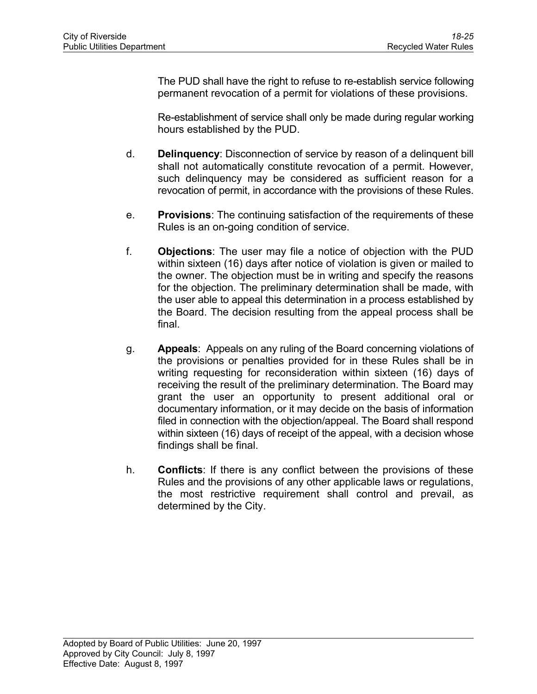The PUD shall have the right to refuse to re-establish service following permanent revocation of a permit for violations of these provisions.

Re-establishment of service shall only be made during regular working hours established by the PUD.

- d. **Delinquency**: Disconnection of service by reason of a delinquent bill shall not automatically constitute revocation of a permit. However, such delinquency may be considered as sufficient reason for a revocation of permit, in accordance with the provisions of these Rules.
- e. **Provisions**: The continuing satisfaction of the requirements of these Rules is an on-going condition of service.
- f. **Objections**: The user may file a notice of objection with the PUD within sixteen (16) days after notice of violation is given or mailed to the owner. The objection must be in writing and specify the reasons for the objection. The preliminary determination shall be made, with the user able to appeal this determination in a process established by the Board. The decision resulting from the appeal process shall be final.
- g. **Appeals**: Appeals on any ruling of the Board concerning violations of the provisions or penalties provided for in these Rules shall be in writing requesting for reconsideration within sixteen (16) days of receiving the result of the preliminary determination. The Board may grant the user an opportunity to present additional oral or documentary information, or it may decide on the basis of information filed in connection with the objection/appeal. The Board shall respond within sixteen (16) days of receipt of the appeal, with a decision whose findings shall be final.
- h. **Conflicts**: If there is any conflict between the provisions of these Rules and the provisions of any other applicable laws or regulations, the most restrictive requirement shall control and prevail, as determined by the City.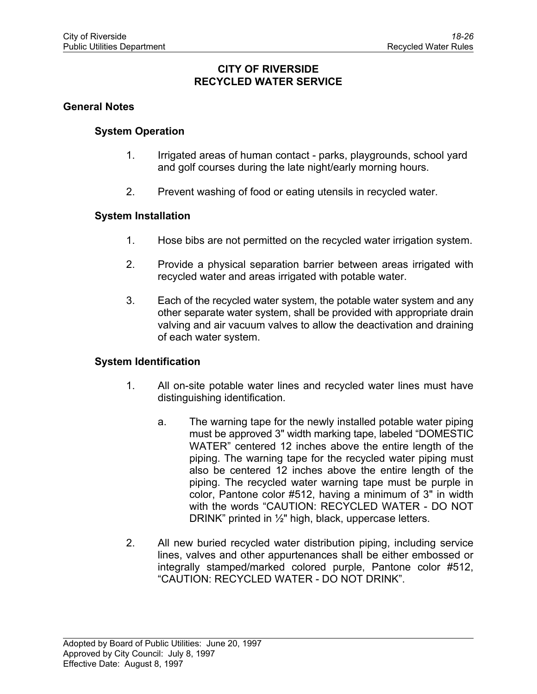#### **CITY OF RIVERSIDE RECYCLED WATER SERVICE**

#### **General Notes**

#### **System Operation**

- 1. Irrigated areas of human contact parks, playgrounds, school yard and golf courses during the late night/early morning hours.
- 2. Prevent washing of food or eating utensils in recycled water.

#### **System Installation**

- 1. Hose bibs are not permitted on the recycled water irrigation system.
- 2. Provide a physical separation barrier between areas irrigated with recycled water and areas irrigated with potable water.
- 3. Each of the recycled water system, the potable water system and any other separate water system, shall be provided with appropriate drain valving and air vacuum valves to allow the deactivation and draining of each water system.

#### **System Identification**

- 1. All on-site potable water lines and recycled water lines must have distinguishing identification.
	- a. The warning tape for the newly installed potable water piping must be approved 3" width marking tape, labeled "DOMESTIC WATER" centered 12 inches above the entire length of the piping. The warning tape for the recycled water piping must also be centered 12 inches above the entire length of the piping. The recycled water warning tape must be purple in color, Pantone color #512, having a minimum of 3" in width with the words "CAUTION: RECYCLED WATER - DO NOT DRINK" printed in ½" high, black, uppercase letters.
- 2. All new buried recycled water distribution piping, including service lines, valves and other appurtenances shall be either embossed or integrally stamped/marked colored purple, Pantone color #512, "CAUTION: RECYCLED WATER - DO NOT DRINK".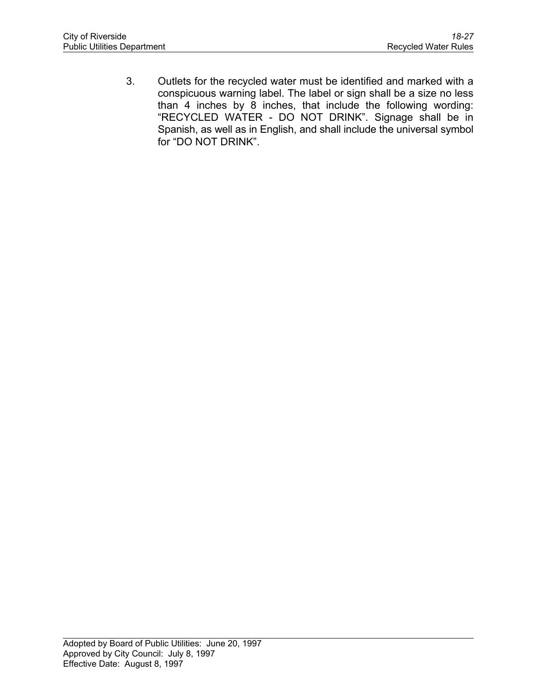3. Outlets for the recycled water must be identified and marked with a conspicuous warning label. The label or sign shall be a size no less than 4 inches by 8 inches, that include the following wording: "RECYCLED WATER - DO NOT DRINK". Signage shall be in Spanish, as well as in English, and shall include the universal symbol for "DO NOT DRINK".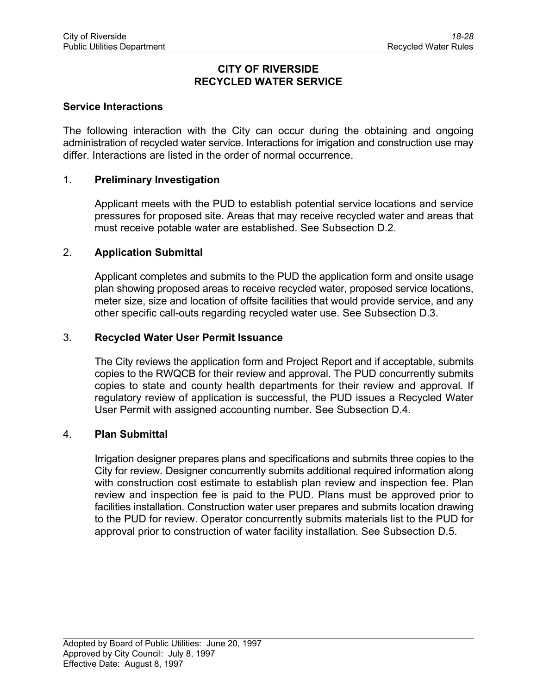#### **CITY OF RIVERSIDE RECYCLED WATER SERVICE**

#### **Service Interactions**

The following interaction with the City can occur during the obtaining and ongoing administration of recycled water service. Interactions for irrigation and construction use may differ. Interactions are listed in the order of normal occurrence.

#### 1. **Preliminary Investigation**

Applicant meets with the PUD to establish potential service locations and service pressures for proposed site. Areas that may receive recycled water and areas that must receive potable water are established. See Subsection D.2.

#### 2. **Application Submittal**

Applicant completes and submits to the PUD the application form and onsite usage plan showing proposed areas to receive recycled water, proposed service locations, meter size, size and location of offsite facilities that would provide service, and any other specific call-outs regarding recycled water use. See Subsection D.3.

#### 3. **Recycled Water User Permit Issuance**

The City reviews the application form and Project Report and if acceptable, submits copies to the RWQCB for their review and approval. The PUD concurrently submits copies to state and county health departments for their review and approval. If regulatory review of application is successful, the PUD issues a Recycled Water User Permit with assigned accounting number. See Subsection D.4.

#### 4. **Plan Submittal**

Irrigation designer prepares plans and specifications and submits three copies to the City for review. Designer concurrently submits additional required information along with construction cost estimate to establish plan review and inspection fee. Plan review and inspection fee is paid to the PUD. Plans must be approved prior to facilities installation. Construction water user prepares and submits location drawing to the PUD for review. Operator concurrently submits materials list to the PUD for approval prior to construction of water facility installation. See Subsection D.5.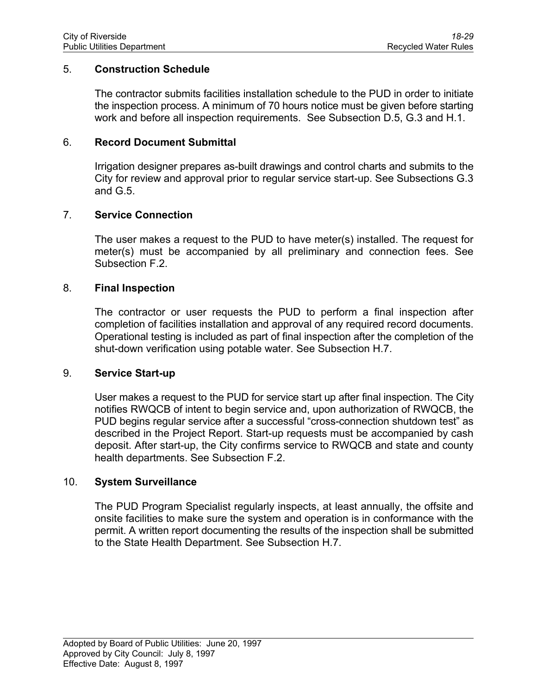#### 5. **Construction Schedule**

The contractor submits facilities installation schedule to the PUD in order to initiate the inspection process. A minimum of 70 hours notice must be given before starting work and before all inspection requirements. See Subsection D.5, G.3 and H.1.

#### 6. **Record Document Submittal**

Irrigation designer prepares as-built drawings and control charts and submits to the City for review and approval prior to regular service start-up. See Subsections G.3 and G.5.

#### 7. **Service Connection**

The user makes a request to the PUD to have meter(s) installed. The request for meter(s) must be accompanied by all preliminary and connection fees. See Subsection F.2.

#### 8. **Final Inspection**

The contractor or user requests the PUD to perform a final inspection after completion of facilities installation and approval of any required record documents. Operational testing is included as part of final inspection after the completion of the shut-down verification using potable water. See Subsection H.7.

#### 9. **Service Start-up**

User makes a request to the PUD for service start up after final inspection. The City notifies RWQCB of intent to begin service and, upon authorization of RWQCB, the PUD begins regular service after a successful "cross-connection shutdown test" as described in the Project Report. Start-up requests must be accompanied by cash deposit. After start-up, the City confirms service to RWQCB and state and county health departments. See Subsection F.2.

#### 10. **System Surveillance**

The PUD Program Specialist regularly inspects, at least annually, the offsite and onsite facilities to make sure the system and operation is in conformance with the permit. A written report documenting the results of the inspection shall be submitted to the State Health Department. See Subsection H.7.